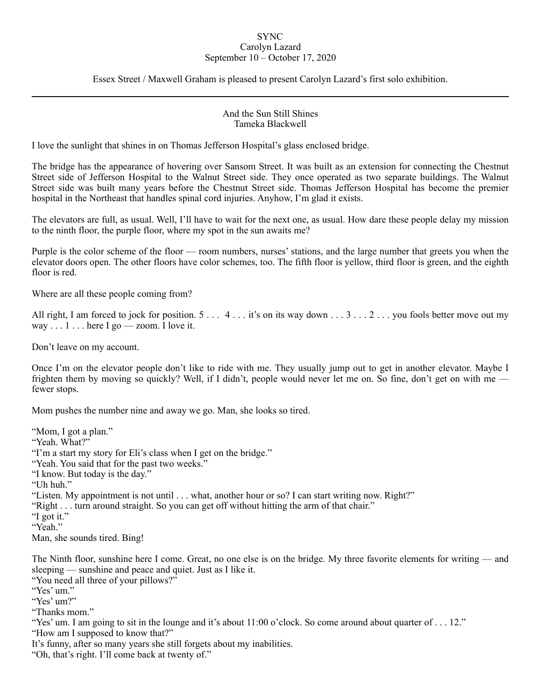## SYNC Carolyn Lazard September 10 – October 17, 2020

Essex Street / Maxwell Graham is pleased to present Carolyn Lazard's first solo exhibition.

## And the Sun Still Shines Tameka Blackwell

I love the sunlight that shines in on Thomas Jefferson Hospital's glass enclosed bridge.

The bridge has the appearance of hovering over Sansom Street. It was built as an extension for connecting the Chestnut Street side of Jefferson Hospital to the Walnut Street side. They once operated as two separate buildings. The Walnut Street side was built many years before the Chestnut Street side. Thomas Jefferson Hospital has become the premier hospital in the Northeast that handles spinal cord injuries. Anyhow, I'm glad it exists.

The elevators are full, as usual. Well, I'll have to wait for the next one, as usual. How dare these people delay my mission to the ninth floor, the purple floor, where my spot in the sun awaits me?

Purple is the color scheme of the floor — room numbers, nurses' stations, and the large number that greets you when the elevator doors open. The other floors have color schemes, too. The fifth floor is yellow, third floor is green, and the eighth floor is red.

Where are all these people coming from?

All right, I am forced to jock for position. 5 . . . 4 . . . it's on its way down . . . 3 . . . 2 . . . you fools better move out my way  $\dots$  1  $\dots$  here I go — zoom. I love it.

Don't leave on my account.

Once I'm on the elevator people don't like to ride with me. They usually jump out to get in another elevator. Maybe I frighten them by moving so quickly? Well, if I didn't, people would never let me on. So fine, don't get on with me fewer stops.

Mom pushes the number nine and away we go. Man, she looks so tired.

"Mom, I got a plan." "Yeah. What?" "I'm a start my story for Eli's class when I get on the bridge." "Yeah. You said that for the past two weeks." "I know. But today is the day." "Uh huh" "Listen. My appointment is not until . . . what, another hour or so? I can start writing now. Right?" "Right . . . turn around straight. So you can get off without hitting the arm of that chair." "I got it." "Yeah." Man, she sounds tired. Bing! The Ninth floor, sunshine here I come. Great, no one else is on the bridge. My three favorite elements for writing — and sleeping — sunshine and peace and quiet. Just as I like it. "You need all three of your pillows?"

"Yes' um."

"Yes' um?"

"Thanks mom."

"Yes' um. I am going to sit in the lounge and it's about  $11:00$  o'clock. So come around about quarter of . . . 12."

"How am I supposed to know that?"

It's funny, after so many years she still forgets about my inabilities.

"Oh, that's right. I'll come back at twenty of."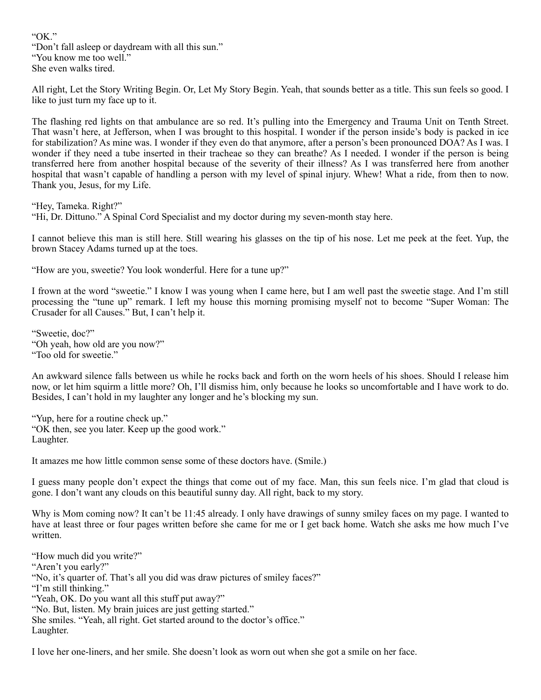"OK." "Don't fall asleep or daydream with all this sun." "You know me too well." She even walks tired.

All right, Let the Story Writing Begin. Or, Let My Story Begin. Yeah, that sounds better as a title. This sun feels so good. I like to just turn my face up to it.

The flashing red lights on that ambulance are so red. It's pulling into the Emergency and Trauma Unit on Tenth Street. That wasn't here, at Jefferson, when I was brought to this hospital. I wonder if the person inside's body is packed in ice for stabilization? As mine was. I wonder if they even do that anymore, after a person's been pronounced DOA? As I was. I wonder if they need a tube inserted in their tracheae so they can breathe? As I needed. I wonder if the person is being transferred here from another hospital because of the severity of their illness? As I was transferred here from another hospital that wasn't capable of handling a person with my level of spinal injury. Whew! What a ride, from then to now. Thank you, Jesus, for my Life.

"Hey, Tameka. Right?"

"Hi, Dr. Dittuno." A Spinal Cord Specialist and my doctor during my seven-month stay here.

I cannot believe this man is still here. Still wearing his glasses on the tip of his nose. Let me peek at the feet. Yup, the brown Stacey Adams turned up at the toes.

"How are you, sweetie? You look wonderful. Here for a tune up?"

I frown at the word "sweetie." I know I was young when I came here, but I am well past the sweetie stage. And I'm still processing the "tune up" remark. I left my house this morning promising myself not to become "Super Woman: The Crusader for all Causes." But, I can't help it.

"Sweetie, doc?" "Oh yeah, how old are you now?" "Too old for sweetie."

An awkward silence falls between us while he rocks back and forth on the worn heels of his shoes. Should I release him now, or let him squirm a little more? Oh, I'll dismiss him, only because he looks so uncomfortable and I have work to do. Besides, I can't hold in my laughter any longer and he's blocking my sun.

"Yup, here for a routine check up." "OK then, see you later. Keep up the good work." Laughter.

It amazes me how little common sense some of these doctors have. (Smile.)

I guess many people don't expect the things that come out of my face. Man, this sun feels nice. I'm glad that cloud is gone. I don't want any clouds on this beautiful sunny day. All right, back to my story.

Why is Mom coming now? It can't be 11:45 already. I only have drawings of sunny smiley faces on my page. I wanted to have at least three or four pages written before she came for me or I get back home. Watch she asks me how much I've written.

"How much did you write?" "Aren't you early?" "No, it's quarter of. That's all you did was draw pictures of smiley faces?" "I'm still thinking." "Yeah, OK. Do you want all this stuff put away?" "No. But, listen. My brain juices are just getting started." She smiles. "Yeah, all right. Get started around to the doctor's office." Laughter.

I love her one-liners, and her smile. She doesn't look as worn out when she got a smile on her face.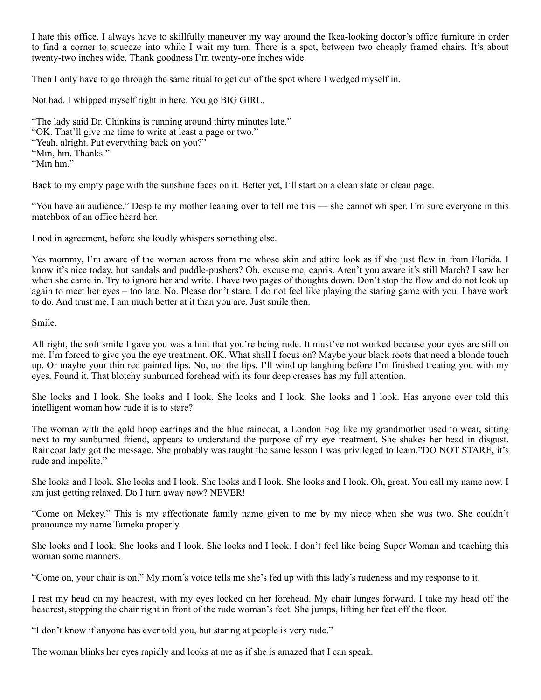I hate this office. I always have to skillfully maneuver my way around the Ikea-looking doctor's office furniture in order to find a corner to squeeze into while I wait my turn. There is a spot, between two cheaply framed chairs. It's about twenty-two inches wide. Thank goodness I'm twenty-one inches wide.

Then I only have to go through the same ritual to get out of the spot where I wedged myself in.

Not bad. I whipped myself right in here. You go BIG GIRL.

"The lady said Dr. Chinkins is running around thirty minutes late." "OK. That'll give me time to write at least a page or two." "Yeah, alright. Put everything back on you?" "Mm, hm. Thanks." "Mm hm"

Back to my empty page with the sunshine faces on it. Better yet, I'll start on a clean slate or clean page.

"You have an audience." Despite my mother leaning over to tell me this — she cannot whisper. I'm sure everyone in this matchbox of an office heard her.

I nod in agreement, before she loudly whispers something else.

Yes mommy, I'm aware of the woman across from me whose skin and attire look as if she just flew in from Florida. I know it's nice today, but sandals and puddle-pushers? Oh, excuse me, capris. Aren't you aware it's still March? I saw her when she came in. Try to ignore her and write. I have two pages of thoughts down. Don't stop the flow and do not look up again to meet her eyes – too late. No. Please don't stare. I do not feel like playing the staring game with you. I have work to do. And trust me, I am much better at it than you are. Just smile then.

Smile.

All right, the soft smile I gave you was a hint that you're being rude. It must've not worked because your eyes are still on me. I'm forced to give you the eye treatment. OK. What shall I focus on? Maybe your black roots that need a blonde touch up. Or maybe your thin red painted lips. No, not the lips. I'll wind up laughing before I'm finished treating you with my eyes. Found it. That blotchy sunburned forehead with its four deep creases has my full attention.

She looks and I look. She looks and I look. She looks and I look. She looks and I look. Has anyone ever told this intelligent woman how rude it is to stare?

The woman with the gold hoop earrings and the blue raincoat, a London Fog like my grandmother used to wear, sitting next to my sunburned friend, appears to understand the purpose of my eye treatment. She shakes her head in disgust. Raincoat lady got the message. She probably was taught the same lesson I was privileged to learn."DO NOT STARE, it's rude and impolite."

She looks and I look. She looks and I look. She looks and I look. She looks and I look. Oh, great. You call my name now. I am just getting relaxed. Do I turn away now? NEVER!

"Come on Mekey." This is my affectionate family name given to me by my niece when she was two. She couldn't pronounce my name Tameka properly.

She looks and I look. She looks and I look. She looks and I look. I don't feel like being Super Woman and teaching this woman some manners.

"Come on, your chair is on." My mom's voice tells me she's fed up with this lady's rudeness and my response to it.

I rest my head on my headrest, with my eyes locked on her forehead. My chair lunges forward. I take my head off the headrest, stopping the chair right in front of the rude woman's feet. She jumps, lifting her feet off the floor.

"I don't know if anyone has ever told you, but staring at people is very rude."

The woman blinks her eyes rapidly and looks at me as if she is amazed that I can speak.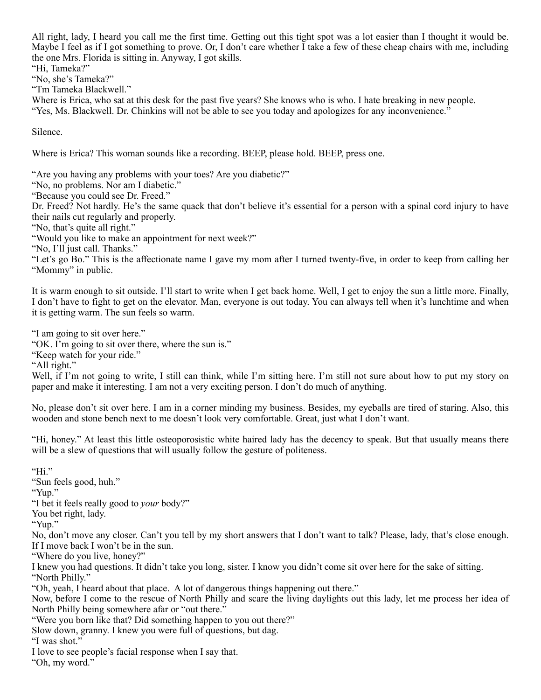All right, lady, I heard you call me the first time. Getting out this tight spot was a lot easier than I thought it would be. Maybe I feel as if I got something to prove. Or, I don't care whether I take a few of these cheap chairs with me, including the one Mrs. Florida is sitting in. Anyway, I got skills.

"Hi, Tameka?"

"No, she's Tameka?"

"Tm Tameka Blackwell."

Where is Erica, who sat at this desk for the past five years? She knows who is who. I hate breaking in new people. "Yes, Ms. Blackwell. Dr. Chinkins will not be able to see you today and apologizes for any inconvenience."

Silence.

Where is Erica? This woman sounds like a recording. BEEP, please hold. BEEP, press one.

"Are you having any problems with your toes? Are you diabetic?"

"No, no problems. Nor am I diabetic."

"Because you could see Dr. Freed."

Dr. Freed? Not hardly. He's the same quack that don't believe it's essential for a person with a spinal cord injury to have their nails cut regularly and properly.

"No, that's quite all right."

"Would you like to make an appointment for next week?"

"No, I'll just call. Thanks."

"Let's go Bo." This is the affectionate name I gave my mom after I turned twenty-five, in order to keep from calling her "Mommy" in public.

It is warm enough to sit outside. I'll start to write when I get back home. Well, I get to enjoy the sun a little more. Finally, I don't have to fight to get on the elevator. Man, everyone is out today. You can always tell when it's lunchtime and when it is getting warm. The sun feels so warm.

"I am going to sit over here."

"OK. I'm going to sit over there, where the sun is."

"Keep watch for your ride."

"All right."

Well, if I'm not going to write, I still can think, while I'm sitting here. I'm still not sure about how to put my story on paper and make it interesting. I am not a very exciting person. I don't do much of anything.

No, please don't sit over here. I am in a corner minding my business. Besides, my eyeballs are tired of staring. Also, this wooden and stone bench next to me doesn't look very comfortable. Great, just what I don't want.

"Hi, honey." At least this little osteoporosistic white haired lady has the decency to speak. But that usually means there will be a slew of questions that will usually follow the gesture of politeness.

"Hi." "Sun feels good, huh." "Yup." "I bet it feels really good to *your* body?" You bet right, lady. "Yup." No, don't move any closer. Can't you tell by my short answers that I don't want to talk? Please, lady, that's close enough. If I move back I won't be in the sun. "Where do you live, honey?" I knew you had questions. It didn't take you long, sister. I know you didn't come sit over here for the sake of sitting. "North Philly." "Oh, yeah, I heard about that place. A lot of dangerous things happening out there." Now, before I come to the rescue of North Philly and scare the living daylights out this lady, let me process her idea of North Philly being somewhere afar or "out there." "Were you born like that? Did something happen to you out there?"

Slow down, granny. I knew you were full of questions, but dag.

"I was shot."

I love to see people's facial response when I say that.

"Oh, my word."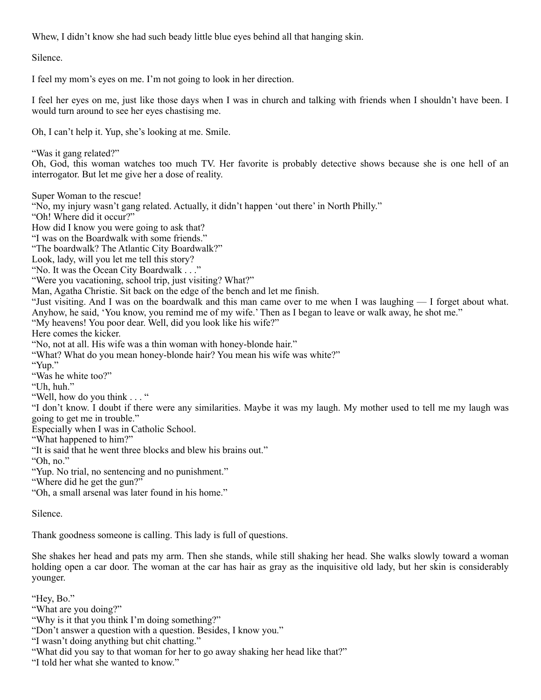Whew, I didn't know she had such beady little blue eyes behind all that hanging skin.

Silence.

I feel my mom's eyes on me. I'm not going to look in her direction.

I feel her eyes on me, just like those days when I was in church and talking with friends when I shouldn't have been. I would turn around to see her eyes chastising me.

Oh, I can't help it. Yup, she's looking at me. Smile.

"Was it gang related?" Oh, God, this woman watches too much TV. Her favorite is probably detective shows because she is one hell of an interrogator. But let me give her a dose of reality.

Super Woman to the rescue!

"No, my injury wasn't gang related. Actually, it didn't happen 'out there' in North Philly." "Oh! Where did it occur?" How did I know you were going to ask that? "I was on the Boardwalk with some friends." "The boardwalk? The Atlantic City Boardwalk?" Look, lady, will you let me tell this story? "No. It was the Ocean City Boardwalk . . ." "Were you vacationing, school trip, just visiting? What?" Man, Agatha Christie. Sit back on the edge of the bench and let me finish. "Just visiting. And I was on the boardwalk and this man came over to me when I was laughing — I forget about what. Anyhow, he said, 'You know, you remind me of my wife.' Then as I began to leave or walk away, he shot me." "My heavens! You poor dear. Well, did you look like his wife?" Here comes the kicker. "No, not at all. His wife was a thin woman with honey-blonde hair." "What? What do you mean honey-blonde hair? You mean his wife was white?" "Yup." "Was he white too?" "Uh, huh." "Well, how do you think . . . " "I don't know. I doubt if there were any similarities. Maybe it was my laugh. My mother used to tell me my laugh was going to get me in trouble." Especially when I was in Catholic School. "What happened to him?" "It is said that he went three blocks and blew his brains out." "Oh, no." "Yup. No trial, no sentencing and no punishment." "Where did he get the gun?" "Oh, a small arsenal was later found in his home."

Silence.

Thank goodness someone is calling. This lady is full of questions.

She shakes her head and pats my arm. Then she stands, while still shaking her head. She walks slowly toward a woman holding open a car door. The woman at the car has hair as gray as the inquisitive old lady, but her skin is considerably younger.

"Hey, Bo."

"What are you doing?"

"Why is it that you think I'm doing something?"

"Don't answer a question with a question. Besides, I know you."

"I wasn't doing anything but chit chatting."

"What did you say to that woman for her to go away shaking her head like that?"

"I told her what she wanted to know."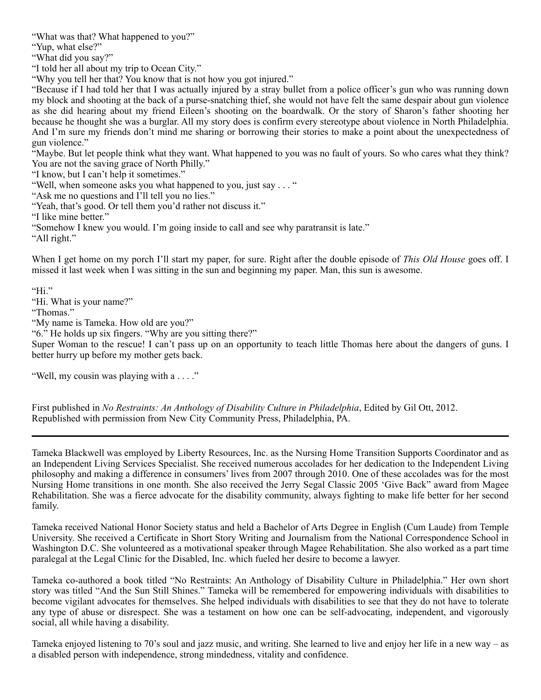"What was that? What happened to you?"

"Yup, what else?"

"What did you say?"

"I told her all about my trip to Ocean City."

"Why you tell her that? You know that is not how you got injured."

"Because if I had told her that I was actually injured by a stray bullet from a police officer's gun who was running down my block and shooting at the back of a purse-snatching thief, she would not have felt the same despair about gun violence as she did hearing about my friend Eileen's shooting on the boardwalk. Or the story of Sharon's father shooting her because he thought she was a burglar. All my story does is confirm every stereotype about violence in North Philadelphia. And I'm sure my friends don't mind me sharing or borrowing their stories to make a point about the unexpectedness of gun violence."

"Maybe. But let people think what they want. What happened to you was no fault of yours. So who cares what they think? You are not the saving grace of North Philly."

"I know, but I can't help it sometimes."

"Well, when someone asks you what happened to you, just say . . . "

"Ask me no questions and I'll tell you no lies."

"Yeah, that's good. Or tell them you'd rather not discuss it."

"I like mine better."

"Somehow I knew you would. I'm going inside to call and see why paratransit is late."

"All right."

When I get home on my porch I'll start my paper, for sure. Right after the double episode of *This Old House* goes off. I missed it last week when I was sitting in the sun and beginning my paper. Man, this sun is awesome.

"Hi."

"Hi. What is your name?"

"Thomas."

"My name is Tameka. How old are you?"

"6." He holds up six fingers. "Why are you sitting there?"

Super Woman to the rescue! I can't pass up on an opportunity to teach little Thomas here about the dangers of guns. I better hurry up before my mother gets back.

"Well, my cousin was playing with  $a \dots$ "

First published in *No Restraints: An Anthology of Disability Culture in Philadelphia*, Edited by Gil Ott, 2012. Republished with permission from New City Community Press, Philadelphia, PA.

Tameka Blackwell was employed by Liberty Resources, Inc. as the Nursing Home Transition Supports Coordinator and as an Independent Living Services Specialist. She received numerous accolades for her dedication to the Independent Living philosophy and making a difference in consumers' lives from 2007 through 2010. One of these accolades was for the most Nursing Home transitions in one month. She also received the Jerry Segal Classic 2005 'Give Back" award from Magee Rehabilitation. She was a fierce advocate for the disability community, always fighting to make life better for her second family.

Tameka received National Honor Society status and held a Bachelor of Arts Degree in English (Cum Laude) from Temple University. She received a Certificate in Short Story Writing and Journalism from the National Correspondence School in Washington D.C. She volunteered as a motivational speaker through Magee Rehabilitation. She also worked as a part time paralegal at the Legal Clinic for the Disabled, Inc. which fueled her desire to become a lawyer.

Tameka co-authored a book titled "No Restraints: An Anthology of Disability Culture in Philadelphia." Her own short story was titled "And the Sun Still Shines." Tameka will be remembered for empowering individuals with disabilities to become vigilant advocates for themselves. She helped individuals with disabilities to see that they do not have to tolerate any type of abuse or disrespect. She was a testament on how one can be self-advocating, independent, and vigorously social, all while having a disability.

Tameka enjoyed listening to 70's soul and jazz music, and writing. She learned to live and enjoy her life in a new way – as a disabled person with independence, strong mindedness, vitality and confidence.